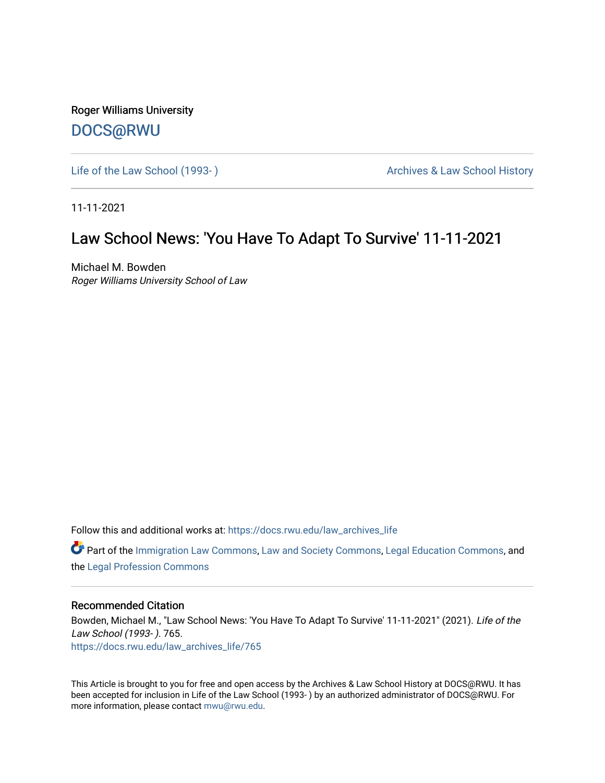Roger Williams University [DOCS@RWU](https://docs.rwu.edu/)

Life of the Law School (1993-) **Archives & Law School History** Archives & Law School History

11-11-2021

### Law School News: 'You Have To Adapt To Survive' 11-11-2021

Michael M. Bowden Roger Williams University School of Law

Follow this and additional works at: [https://docs.rwu.edu/law\\_archives\\_life](https://docs.rwu.edu/law_archives_life?utm_source=docs.rwu.edu%2Flaw_archives_life%2F765&utm_medium=PDF&utm_campaign=PDFCoverPages)

Part of the [Immigration Law Commons](http://network.bepress.com/hgg/discipline/604?utm_source=docs.rwu.edu%2Flaw_archives_life%2F765&utm_medium=PDF&utm_campaign=PDFCoverPages), [Law and Society Commons,](http://network.bepress.com/hgg/discipline/853?utm_source=docs.rwu.edu%2Flaw_archives_life%2F765&utm_medium=PDF&utm_campaign=PDFCoverPages) [Legal Education Commons,](http://network.bepress.com/hgg/discipline/857?utm_source=docs.rwu.edu%2Flaw_archives_life%2F765&utm_medium=PDF&utm_campaign=PDFCoverPages) and the [Legal Profession Commons](http://network.bepress.com/hgg/discipline/1075?utm_source=docs.rwu.edu%2Flaw_archives_life%2F765&utm_medium=PDF&utm_campaign=PDFCoverPages) 

#### Recommended Citation

Bowden, Michael M., "Law School News: 'You Have To Adapt To Survive' 11-11-2021" (2021). Life of the Law School (1993- ). 765. [https://docs.rwu.edu/law\\_archives\\_life/765](https://docs.rwu.edu/law_archives_life/765?utm_source=docs.rwu.edu%2Flaw_archives_life%2F765&utm_medium=PDF&utm_campaign=PDFCoverPages)

This Article is brought to you for free and open access by the Archives & Law School History at DOCS@RWU. It has been accepted for inclusion in Life of the Law School (1993- ) by an authorized administrator of DOCS@RWU. For more information, please contact [mwu@rwu.edu](mailto:mwu@rwu.edu).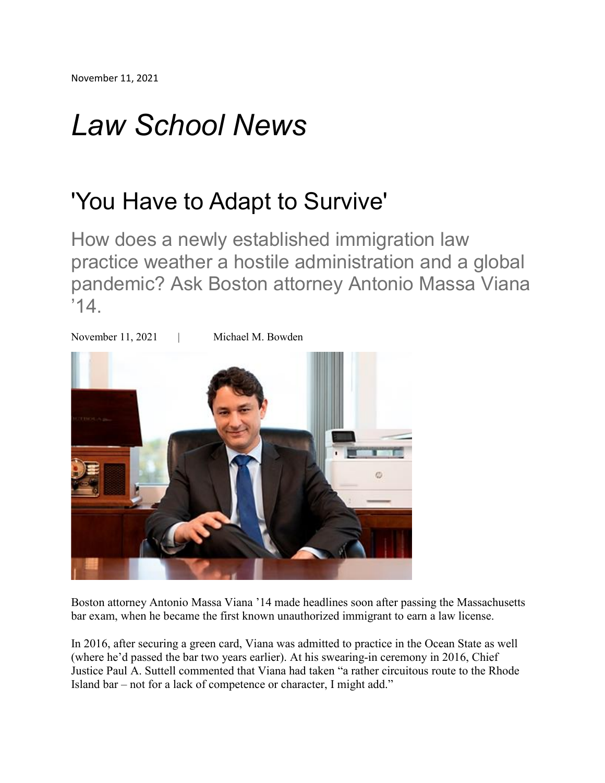# *Law School News*

## 'You Have to Adapt to Survive'

How does a newly established immigration law practice weather a hostile administration and a global pandemic? Ask Boston attorney Antonio Massa Viana  $'14$ .



Boston attorney Antonio Massa Viana '14 made headlines soon after passing the Massachusetts bar exam, when he became the first known unauthorized immigrant to earn a law license.

In 2016, after securing a green card, Viana was admitted to practice in the Ocean State as well (where he'd passed the bar two years earlier). At his swearing-in ceremony in 2016, Chief Justice Paul A. Suttell commented that Viana had taken "a rather circuitous route to the Rhode Island bar – not for a lack of competence or character, I might add."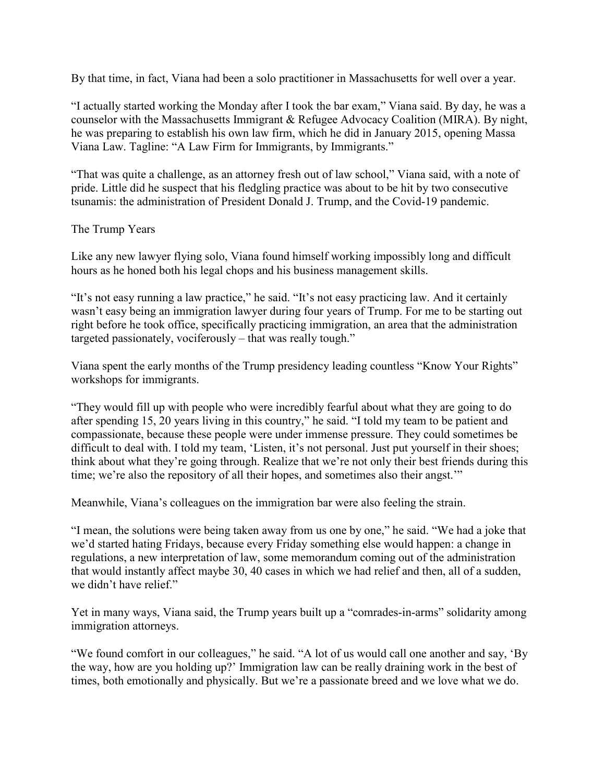By that time, in fact, Viana had been a solo practitioner in Massachusetts for well over a year.

"I actually started working the Monday after I took the bar exam," Viana said. By day, he was a counselor with the Massachusetts Immigrant & Refugee Advocacy Coalition (MIRA). By night, he was preparing to establish his own law firm, which he did in January 2015, opening Massa Viana Law. Tagline: "A Law Firm for Immigrants, by Immigrants."

"That was quite a challenge, as an attorney fresh out of law school," Viana said, with a note of pride. Little did he suspect that his fledgling practice was about to be hit by two consecutive tsunamis: the administration of President Donald J. Trump, and the Covid-19 pandemic.

### The Trump Years

Like any new lawyer flying solo, Viana found himself working impossibly long and difficult hours as he honed both his legal chops and his business management skills.

"It's not easy running a law practice," he said. "It's not easy practicing law. And it certainly wasn't easy being an immigration lawyer during four years of Trump. For me to be starting out right before he took office, specifically practicing immigration, an area that the administration targeted passionately, vociferously – that was really tough."

Viana spent the early months of the Trump presidency leading countless "Know Your Rights" workshops for immigrants.

"They would fill up with people who were incredibly fearful about what they are going to do after spending 15, 20 years living in this country," he said. "I told my team to be patient and compassionate, because these people were under immense pressure. They could sometimes be difficult to deal with. I told my team, 'Listen, it's not personal. Just put yourself in their shoes; think about what they're going through. Realize that we're not only their best friends during this time; we're also the repository of all their hopes, and sometimes also their angst.'"

Meanwhile, Viana's colleagues on the immigration bar were also feeling the strain.

"I mean, the solutions were being taken away from us one by one," he said. "We had a joke that we'd started hating Fridays, because every Friday something else would happen: a change in regulations, a new interpretation of law, some memorandum coming out of the administration that would instantly affect maybe 30, 40 cases in which we had relief and then, all of a sudden, we didn't have relief."

Yet in many ways, Viana said, the Trump years built up a "comrades-in-arms" solidarity among immigration attorneys.

"We found comfort in our colleagues," he said. "A lot of us would call one another and say, 'By the way, how are you holding up?' Immigration law can be really draining work in the best of times, both emotionally and physically. But we're a passionate breed and we love what we do.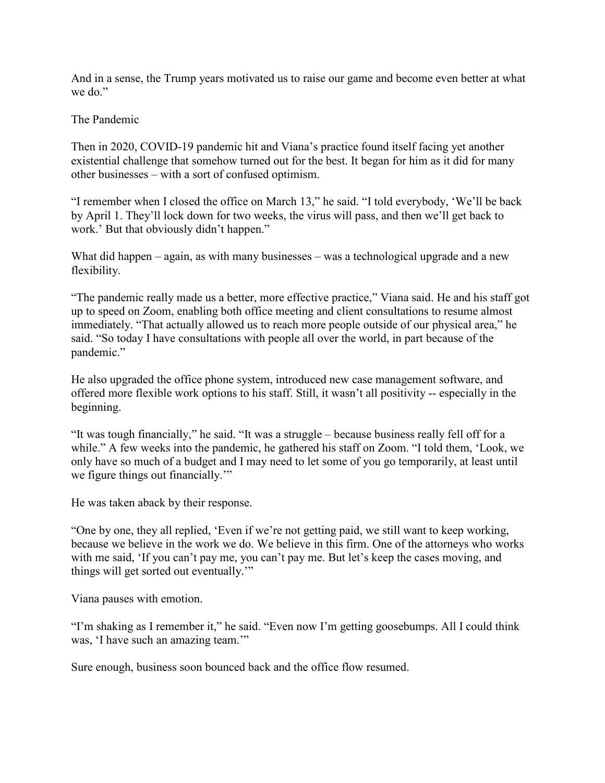And in a sense, the Trump years motivated us to raise our game and become even better at what we do."

### The Pandemic

Then in 2020, COVID-19 pandemic hit and Viana's practice found itself facing yet another existential challenge that somehow turned out for the best. It began for him as it did for many other businesses – with a sort of confused optimism.

"I remember when I closed the office on March 13," he said. "I told everybody, 'We'll be back by April 1. They'll lock down for two weeks, the virus will pass, and then we'll get back to work.' But that obviously didn't happen."

What did happen – again, as with many businesses – was a technological upgrade and a new flexibility.

"The pandemic really made us a better, more effective practice," Viana said. He and his staff got up to speed on Zoom, enabling both office meeting and client consultations to resume almost immediately. "That actually allowed us to reach more people outside of our physical area," he said. "So today I have consultations with people all over the world, in part because of the pandemic."

He also upgraded the office phone system, introduced new case management software, and offered more flexible work options to his staff. Still, it wasn't all positivity -- especially in the beginning.

"It was tough financially," he said. "It was a struggle – because business really fell off for a while." A few weeks into the pandemic, he gathered his staff on Zoom. "I told them, 'Look, we only have so much of a budget and I may need to let some of you go temporarily, at least until we figure things out financially."

He was taken aback by their response.

"One by one, they all replied, 'Even if we're not getting paid, we still want to keep working, because we believe in the work we do. We believe in this firm. One of the attorneys who works with me said, 'If you can't pay me, you can't pay me. But let's keep the cases moving, and things will get sorted out eventually.'"

Viana pauses with emotion.

"I'm shaking as I remember it," he said. "Even now I'm getting goosebumps. All I could think was, 'I have such an amazing team."

Sure enough, business soon bounced back and the office flow resumed.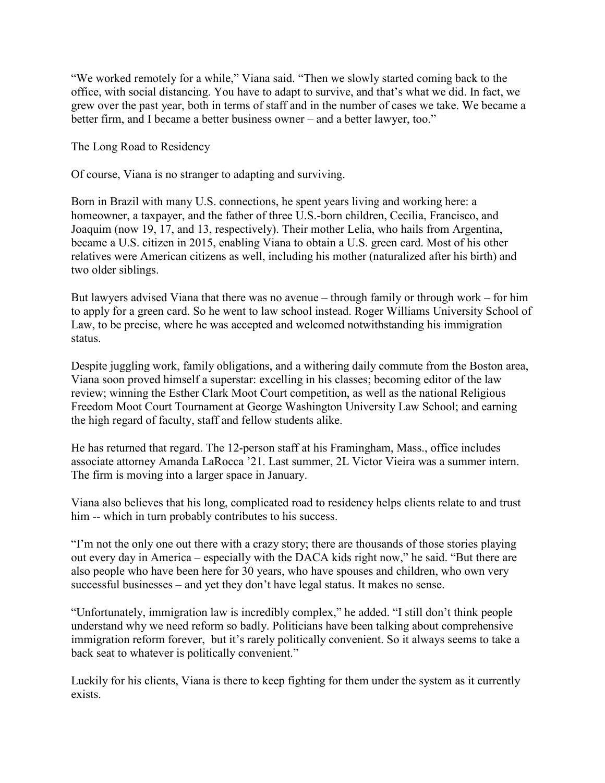"We worked remotely for a while," Viana said. "Then we slowly started coming back to the office, with social distancing. You have to adapt to survive, and that's what we did. In fact, we grew over the past year, both in terms of staff and in the number of cases we take. We became a better firm, and I became a better business owner – and a better lawyer, too."

The Long Road to Residency

Of course, Viana is no stranger to adapting and surviving.

Born in Brazil with many U.S. connections, he spent years living and working here: a homeowner, a taxpayer, and the father of three U.S.-born children, Cecilia, Francisco, and Joaquim (now 19, 17, and 13, respectively). Their mother Lelia, who hails from Argentina, became a U.S. citizen in 2015, enabling Viana to obtain a U.S. green card. Most of his other relatives were American citizens as well, including his mother (naturalized after his birth) and two older siblings.

But lawyers advised Viana that there was no avenue – through family or through work – for him to apply for a green card. So he went to law school instead. Roger Williams University School of Law, to be precise, where he was accepted and welcomed notwithstanding his immigration status.

Despite juggling work, family obligations, and a withering daily commute from the Boston area, Viana soon proved himself a superstar: excelling in his classes; becoming editor of the law review; winning the Esther Clark Moot Court competition, as well as the national Religious Freedom Moot Court Tournament at George Washington University Law School; and earning the high regard of faculty, staff and fellow students alike.

He has returned that regard. The 12-person staff at his Framingham, Mass., office includes associate attorney Amanda LaRocca '21. Last summer, 2L Victor Vieira was a summer intern. The firm is moving into a larger space in January.

Viana also believes that his long, complicated road to residency helps clients relate to and trust him -- which in turn probably contributes to his success.

"I'm not the only one out there with a crazy story; there are thousands of those stories playing out every day in America – especially with the DACA kids right now," he said. "But there are also people who have been here for 30 years, who have spouses and children, who own very successful businesses – and yet they don't have legal status. It makes no sense.

"Unfortunately, immigration law is incredibly complex," he added. "I still don't think people understand why we need reform so badly. Politicians have been talking about comprehensive immigration reform forever, but it's rarely politically convenient. So it always seems to take a back seat to whatever is politically convenient."

Luckily for his clients, Viana is there to keep fighting for them under the system as it currently exists.